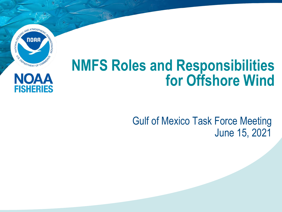

NOAA

**FISHERIES** 

# **NMFS Roles and Responsibilities for Offshore Wind**

### Gulf of Mexico Task Force Meeting June 15, 2021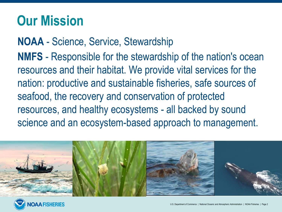# **Our Mission**

**NOAA** - Science, Service, Stewardship **NMFS** - Responsible for the stewardship of the nation's ocean resources and their habitat. We provide vital services for the nation: productive and sustainable fisheries, safe sources of seafood, the recovery and conservation of protected resources, and healthy ecosystems - all backed by sound science and an ecosystem-based approach to management.



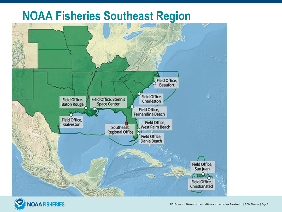### **NOAA Fisheries Southeast Region**



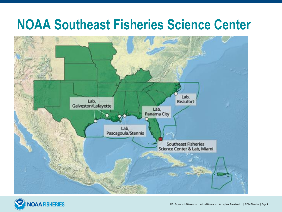## **NOAA Southeast Fisheries Science Center**



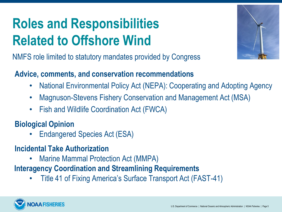# **Roles and Responsibilities Related to Offshore Wind**

NMFS role limited to statutory mandates provided by Congress

#### **Advice, comments, and conservation recommendations**

- National Environmental Policy Act (NEPA): Cooperating and Adopting Agency
- Magnuson-Stevens Fishery Conservation and Management Act (MSA)
- Fish and Wildlife Coordination Act (FWCA)

#### **Biological Opinion**

- Endangered Species Act (ESA)
- **Incidental Take Authorization** 
	- Marine Mammal Protection Act (MMPA)

### **Interagency Coordination and Streamlining Requirements**

• Title 41 of Fixing America's Surface Transport Act (FAST-41)

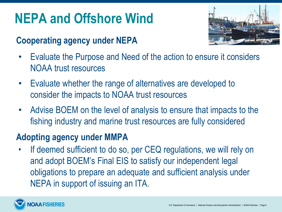# **NEPA and Offshore Wind**

### **Cooperating agency under NEPA**



- Evaluate the Purpose and Need of the action to ensure it considers NOAA trust resources
- Evaluate whether the range of alternatives are developed to consider the impacts to NOAA trust resources
- Advise BOEM on the level of analysis to ensure that impacts to the fishing industry and marine trust resources are fully considered

### **Adopting agency under MMPA**

If deemed sufficient to do so, per CEQ regulations, we will rely on and adopt BOEM's Final EIS to satisfy our independent legal obligations to prepare an adequate and sufficient analysis under NEPA in support of issuing an ITA.

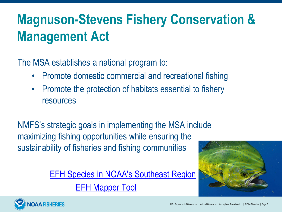# **Magnuson-Stevens Fishery Conservation & Management Act**

The MSA establishes a national program to:

- Promote domestic commercial and recreational fishing
- Promote the protection of habitats essential to fishery resources

NMFS's strategic goals in implementing the MSA include maximizing fishing opportunities while ensuring the sustainability of fisheries and fishing communities

> [EFH Species in NOAA's Southeast Region](https://www.fisheries.noaa.gov/species-directory?title=&species_category=any®ions=1000001121&items_per_page=25&sort=) [EFH Mapper Tool](https://www.habitat.noaa.gov/application/efhmapper/index.html)



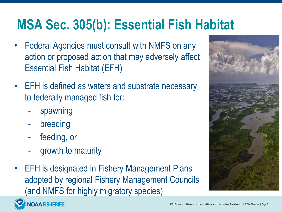# **MSA Sec. 305(b): Essential Fish Habitat**

- Federal Agencies must consult with NMFS on any action or proposed action that may adversely affect Essential Fish Habitat (EFH)
- **EFH** is defined as waters and substrate necessary to federally managed fish for:
	- spawning
	- breeding
	- feeding, or
	- growth to maturity
- **EFH is designated in Fishery Management Plans** adopted by regional Fishery Management Councils (and NMFS for highly migratory species)



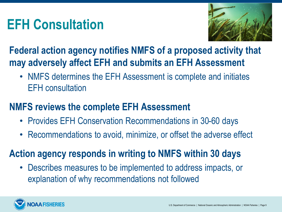## **EFH Consultation**



### **Federal action agency notifies NMFS of a proposed activity that may adversely affect EFH and submits an EFH Assessment**

• NMFS determines the EFH Assessment is complete and initiates EFH consultation

### **NMFS reviews the complete EFH Assessment**

- Provides EFH Conservation Recommendations in 30-60 days
- Recommendations to avoid, minimize, or offset the adverse effect

### **Action agency responds in writing to NMFS within 30 days**

• Describes measures to be implemented to address impacts, or explanation of why recommendations not followed

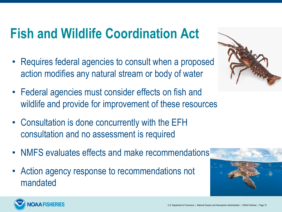## **Fish and Wildlife Coordination Act**

- Requires federal agencies to consult when a proposed action modifies any natural stream or body of water
- Federal agencies must consider effects on fish and wildlife and provide for improvement of these resources
- Consultation is done concurrently with the EFH consultation and no assessment is required
- NMFS evaluates effects and make recommendations
- Action agency response to recommendations not mandated





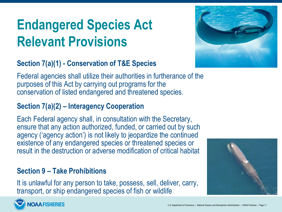# **Endangered Species Act Relevant Provisions**



Federal agencies shall utilize their authorities in furtherance of the purposes of this Act by carrying out programs for the conservation of listed endangered and threatened species.

#### **Section 7(a)(2) – Interagency Cooperation**

Each Federal agency shall, in consultation with the Secretary, ensure that any action authorized, funded, or carried out by such agency ('agency action') is not likely to jeopardize the continued existence of any endangered species or threatened species or result in the destruction or adverse modification of critical habitat

#### **Section 9 – Take Prohibitions**

It is unlawful for any person to take, possess, sell, deliver, carry, transport, or ship endangered species of fish or wildlife





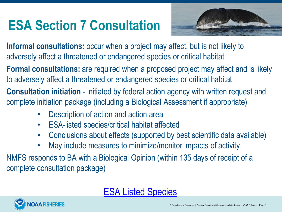# **ESA Section 7 Consultation**



**Informal consultations:** occur when a project may affect, but is not likely to adversely affect a threatened or endangered species or critical habitat

**Formal consultations:** are required when a proposed project may affect and is likely to adversely affect a threatened or endangered species or critical habitat

**Consultation initiation** - initiated by federal action agency with written request and complete initiation package (including a Biological Assessment if appropriate)

- Description of action and action area
- ESA-listed species/critical habitat affected
- Conclusions about effects (supported by best scientific data available)
- May include measures to minimize/monitor impacts of activity

NMFS responds to BA with a Biological Opinion (within 135 days of receipt of a complete consultation package)



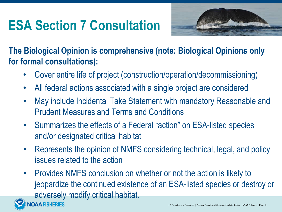# **ESA Section 7 Consultation**



**The Biological Opinion is comprehensive (note: Biological Opinions only for formal consultations):** 

- Cover entire life of project (construction/operation/decommissioning)
- All federal actions associated with a single project are considered
- May include Incidental Take Statement with mandatory Reasonable and Prudent Measures and Terms and Conditions
- Summarizes the effects of a Federal "action" on ESA-listed species and/or designated critical habitat
- Represents the opinion of NMFS considering technical, legal, and policy issues related to the action
- Provides NMFS conclusion on whether or not the action is likely to jeopardize the continued existence of an ESA-listed species or destroy or adversely modify critical habitat.

**AA FISHERIES**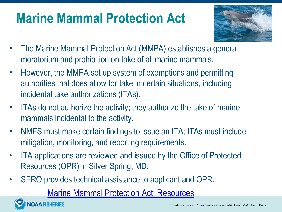## **Marine Mammal Protection Act**



- The Marine Mammal Protection Act (MMPA) establishes a general moratorium and prohibition on take of all marine mammals.
- However, the MMPA set up system of exemptions and permitting authorities that does allow for take in certain situations, including incidental take authorizations (ITAs).
- ITAs do not authorize the activity; they authorize the take of marine mammals incidental to the activity.
- NMFS must make certain findings to issue an ITA; ITAs must include mitigation, monitoring, and reporting requirements.
- ITA applications are reviewed and issued by the Office of Protected Resources (OPR) in Silver Spring, MD.
- SERO provides technical assistance to applicant and OPR.

[Marine Mammal Protection Act: Resources](https://www.fisheries.noaa.gov/topic/marine-mammal-protection)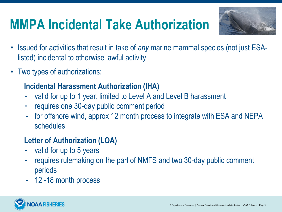# **MMPA Incidental Take Authorization**



- Issued for activities that result in take of *any* marine mammal species (not just ESAlisted) incidental to otherwise lawful activity
- Two types of authorizations:

#### **Incidental Harassment Authorization (IHA)**

- valid for up to 1 year, limited to Level A and Level B harassment
- requires one 30-day public comment period
- for offshore wind, approx 12 month process to integrate with ESA and NEPA schedules

#### **Letter of Authorization (LOA)**

- valid for up to 5 years
- requires rulemaking on the part of NMFS and two 30-day public comment periods
- 12 -18 month process

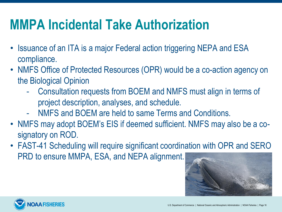# **MMPA Incidental Take Authorization**

- Issuance of an ITA is a major Federal action triggering NEPA and ESA compliance.
- NMFS Office of Protected Resources (OPR) would be a co-action agency on the Biological Opinion
	- Consultation requests from BOEM and NMFS must align in terms of project description, analyses, and schedule.
	- NMFS and BOEM are held to same Terms and Conditions.
- NMFS may adopt BOEM's EIS if deemed sufficient. NMFS may also be a cosignatory on ROD.
- FAST-41 Scheduling will require significant coordination with OPR and SERO PRD to ensure MMPA, ESA, and NEPA alignment.



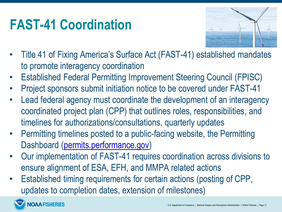# **FAST-41 Coordination**



- Title 41 of Fixing America's Surface Act (FAST-41) established mandates to promote interagency coordination
- Established Federal Permitting Improvement Steering Council (FPISC)
- Project sponsors submit initiation notice to be covered under FAST-41
- Lead federal agency must coordinate the development of an interagency coordinated project plan (CPP) that outlines roles, responsibilities, and timelines for authorizations/consultations, quarterly updates
- Permitting timelines posted to a public-facing website, the Permitting Dashboard ([permits.performance.gov\)](http://permits.performance.gov)
- Our implementation of FAST-41 requires coordination across divisions to ensure alignment of ESA, EFH, and MMPA related actions
- Established timing requirements for certain actions (posting of CPP, updates to completion dates, extension of milestones)